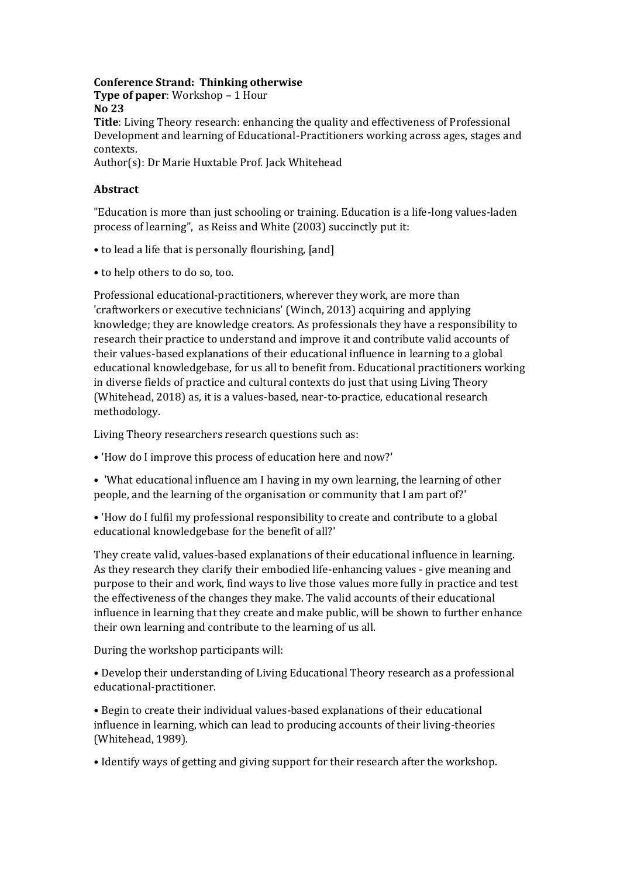## **Conference Strand: Thinking otherwise Type of paper**: Workshop – 1 Hour

**No 23**

**Title**: Living Theory research: enhancing the quality and effectiveness of Professional Development and learning of Educational-Practitioners working across ages, stages and contexts.

Author(s): Dr Marie Huxtable Prof. Jack Whitehead

## **Abstract**

"Education is more than just schooling or training. Education is a life-long values-laden process of learning", as Reiss and White (2003) succinctly put it:

- to lead a life that is personally flourishing, [and]
- to help others to do so, too.

Professional educational-practitioners, wherever they work, are more than 'craftworkers or executive technicians' (Winch, 2013) acquiring and applying knowledge; they are knowledge creators. As professionals they have a responsibility to research their practice to understand and improve it and contribute valid accounts of their values-based explanations of their educational influence in learning to a global educational knowledgebase, for us all to benefit from. Educational practitioners working in diverse fields of practice and cultural contexts do just that using Living Theory (Whitehead, 2018) as, it is a values-based, near-to-practice, educational research methodology.

Living Theory researchers research questions such as:

- 'How do I improve this process of education here and now?'
- 'What educational influence am I having in my own learning, the learning of other people, and the learning of the organisation or community that I am part of?'
- 'How do I fulfil my professional responsibility to create and contribute to a global educational knowledgebase for the benefit of all?'

They create valid, values-based explanations of their educational influence in learning. As they research they clarify their embodied life-enhancing values - give meaning and purpose to their and work, find ways to live those values more fully in practice and test the effectiveness of the changes they make. The valid accounts of their educational influence in learning that they create and make public, will be shown to further enhance their own learning and contribute to the learning of us all.

During the workshop participants will:

• Develop their understanding of Living Educational Theory research as a professional educational-practitioner.

• Begin to create their individual values-based explanations of their educational influence in learning, which can lead to producing accounts of their living-theories (Whitehead, 1989).

• Identify ways of getting and giving support for their research after the workshop.